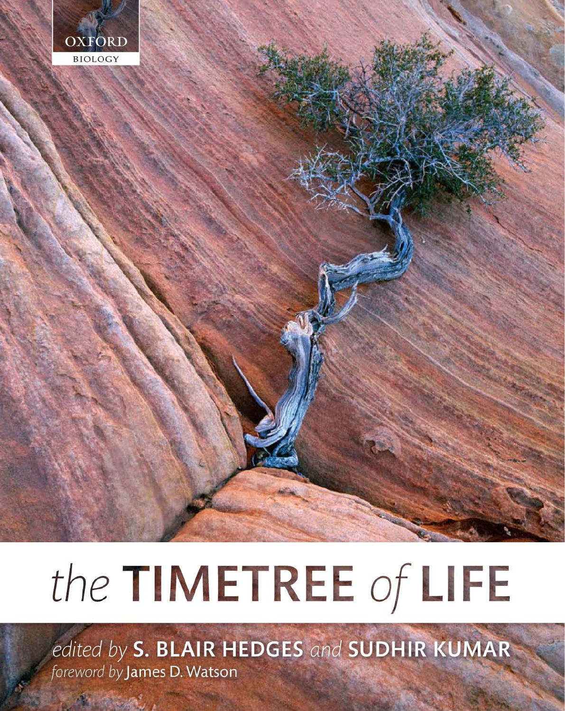

# the TIMETREE of LIFE

edited by S. BLAIR HEDGES and SUDHIR KUMAR foreword by James D. Watson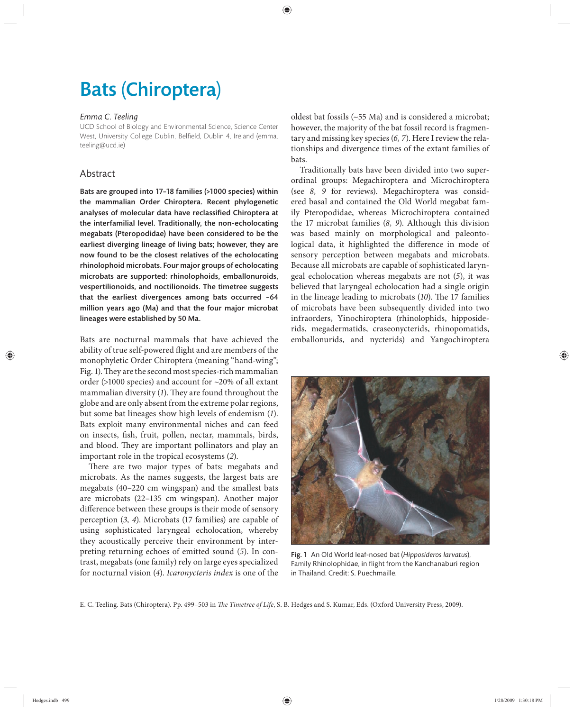## Bats (Chiroptera)

#### *Emma C. Teeling*

UCD School of Biology and Environmental Science, Science Center West, University College Dublin, Belfield, Dublin 4, Ireland (emma. teeling@ucd.ie)

#### Abstract

Bats are grouped into 17–18 families (>1000 species) within the mammalian Order Chiroptera. Recent phylogenetic analyses of molecular data have reclassified Chiroptera at the interfamilial level. Traditionally, the non-echolocating megabats (Pteropodidae) have been considered to be the earliest diverging lineage of living bats; however, they are now found to be the closest relatives of the echolocating rhinolophoid microbats. Four major groups of echolocating microbats are supported: rhinolophoids, emballonuroids, vespertilionoids, and noctilionoids. The timetree suggests that the earliest divergences among bats occurred  $~64$ million years ago (Ma) and that the four major microbat lineages were established by 50 Ma.

Bats are nocturnal mammals that have achieved the ability of true self-powered flight and are members of the monophyletic Order Chiroptera (meaning "hand-wing"; Fig. 1). They are the second most species-rich mammalian order (>1000 species) and account for ~20% of all extant mammalian diversity (1). They are found throughout the globe and are only absent from the extreme polar regions, but some bat lineages show high levels of endemism (*1*). Bats exploit many environmental niches and can feed on insects, fish, fruit, pollen, nectar, mammals, birds, and blood. They are important pollinators and play an important role in the tropical ecosystems (*2*).

There are two major types of bats: megabats and microbats. As the names suggests, the largest bats are megabats (40–220 cm wingspan) and the smallest bats are microbats (22–135 cm wingspan). Another major difference between these groups is their mode of sensory perception (*3, 4*). Microbats (17 families) are capable of using sophisticated laryngeal echolocation, whereby they acoustically perceive their environment by interpreting returning echoes of emitted sound (*5*). In contrast, megabats (one family) rely on large eyes specialized for nocturnal vision (*4*). *Icaronycteris index* is one of the oldest bat fossils (~55 Ma) and is considered a microbat; however, the majority of the bat fossil record is fragmentary and missing key species (*6, 7*). Here I review the relationships and divergence times of the extant families of bats.

Traditionally bats have been divided into two superordinal groups: Megachiroptera and Microchiroptera (see *8, 9* for reviews). Megachiroptera was considered basal and contained the Old World megabat family Pteropodidae, whereas Microchiroptera contained the 17 microbat families (8, 9). Although this division was based mainly on morphological and paleontological data, it highlighted the difference in mode of sensory perception between megabats and microbats. Because all microbats are capable of sophisticated laryngeal echolocation whereas megabats are not (*5*), it was believed that laryngeal echolocation had a single origin in the lineage leading to microbats (10). The 17 families of microbats have been subsequently divided into two infraorders, Yinochiroptera (rhinolophids, hipposiderids, megadermatids, craseonycterids, rhinopomatids, emballonurids, and nycterids) and Yangochiroptera



Fig. 1 An Old World leaf-nosed bat (*Hipposideros larvatus*), Family Rhinolophidae, in flight from the Kanchanaburi region in Thailand. Credit: S. Puechmaille.

E. C. Teeling. Bats (Chiroptera). Pp. 499-503 in *The Timetree of Life*, S. B. Hedges and S. Kumar, Eds. (Oxford University Press, 2009).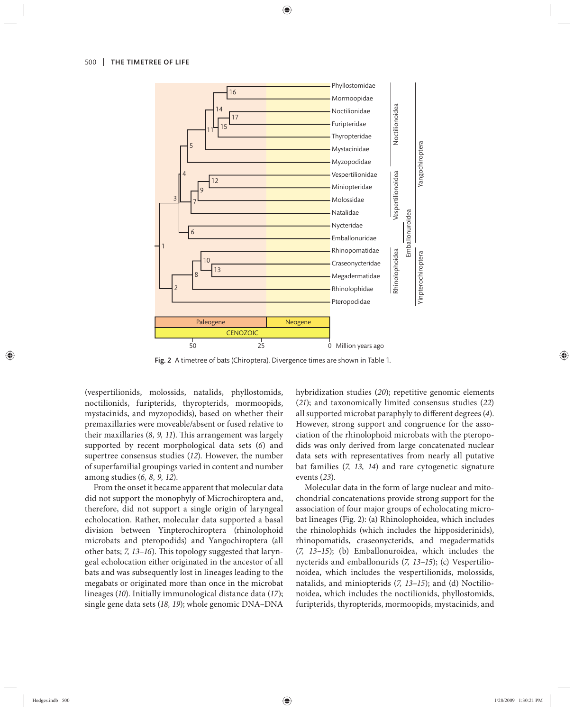

Fig. 2 A timetree of bats (Chiroptera). Divergence times are shown in Table 1.

(vespertilionids, molossids, natalids, phyllostomids, noctilionids, furipterids, thyropterids, mormoopids, mystacinids, and myzopodids), based on whether their premaxillaries were moveable/absent or fused relative to their maxillaries (8, 9, 11). This arrangement was largely supported by recent morphological data sets (*6*) and supertree consensus studies (*12*). However, the number of superfamilial groupings varied in content and number among studies (*6, 8, 9, 12*).

From the onset it became apparent that molecular data did not support the monophyly of Microchiroptera and, therefore, did not support a single origin of laryngeal echolocation. Rather, molecular data supported a basal division between Yinpterochiroptera (rhinolophoid microbats and pteropodids) and Yangochiroptera (all other bats; *7, 13-16*). This topology suggested that laryngeal echolocation either originated in the ancestor of all bats and was subsequently lost in lineages leading to the megabats or originated more than once in the microbat lineages (*10*). Initially immunological distance data (*17*); single gene data sets (*18, 19*); whole genomic DNA–DNA hybridization studies (*20*); repetitive genomic elements (21); and taxonomically limited consensus studies (22) all supported microbat paraphyly to different degrees (4). However, strong support and congruence for the association of the rhinolophoid microbats with the pteropodids was only derived from large concatenated nuclear data sets with representatives from nearly all putative bat families (*7, 13, 14*) and rare cytogenetic signature events (*23*).

Molecular data in the form of large nuclear and mitochondrial concatenations provide strong support for the association of four major groups of echolocating microbat lineages (Fig. 2): (a) Rhinolophoidea, which includes the rhinolophids (which includes the hipposiderinids), rhinopomatids, craseonycterids, and megadermatids (*7, 13–15*); (b) Emballonuroidea, which includes the nycterids and emballonurids (*7, 13–15*); (c) Vespertilionoidea, which includes the vespertilionids, molossids, natalids, and miniopterids (*7, 13–15*); and (d) Noctilionoidea, which includes the noctilionids, phyllostomids, furipterids, thyropterids, mormoopids, mystacinids, and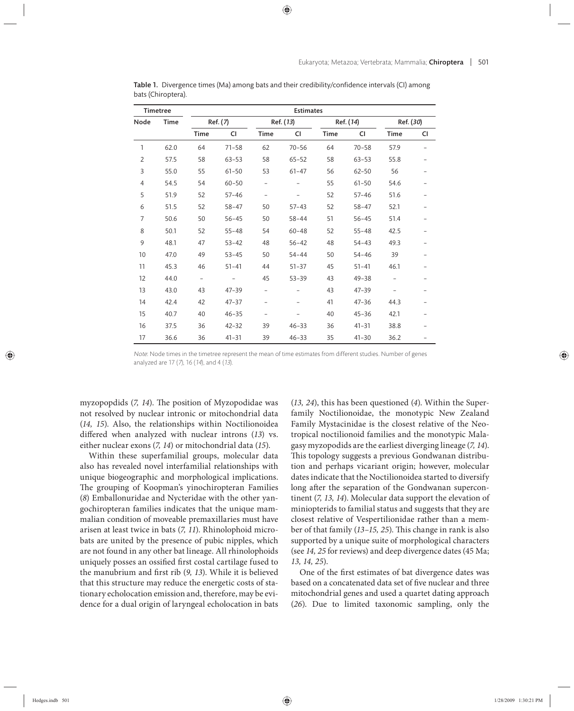| <b>Timetree</b> |             | <b>Estimates</b> |           |                |           |           |           |             |    |
|-----------------|-------------|------------------|-----------|----------------|-----------|-----------|-----------|-------------|----|
| Node            | <b>Time</b> | Ref. (7)         |           | Ref. (13)      |           | Ref. (14) |           | Ref. (30)   |    |
|                 |             | Time             | CI        | Time           | CI        | Time      | CI        | <b>Time</b> | CI |
| $\mathbf{1}$    | 62.0        | 64               | $71 - 58$ | 62             | $70 - 56$ | 64        | $70 - 58$ | 57.9        |    |
| $\overline{2}$  | 57.5        | 58               | $63 - 53$ | 58             | $65 - 52$ | 58        | $63 - 53$ | 55.8        |    |
| 3               | 55.0        | 55               | $61 - 50$ | 53             | $61 - 47$ | 56        | $62 - 50$ | 56          |    |
| $\overline{4}$  | 54.5        | 54               | $60 - 50$ |                |           | 55        | $61 - 50$ | 54.6        |    |
| 5               | 51.9        | 52               | $57 - 46$ | $\overline{a}$ |           | 52        | $57 - 46$ | 51.6        |    |
| 6               | 51.5        | 52               | $58 - 47$ | 50             | $57 - 43$ | 52        | $58 - 47$ | 52.1        |    |
| $\overline{7}$  | 50.6        | 50               | $56 - 45$ | 50             | $58 - 44$ | 51        | $56 - 45$ | 51.4        |    |
| 8               | 50.1        | 52               | $55 - 48$ | 54             | $60 - 48$ | 52        | $55 - 48$ | 42.5        |    |
| 9               | 48.1        | 47               | $53 - 42$ | 48             | $56 - 42$ | 48        | $54 - 43$ | 49.3        |    |
| 10              | 47.0        | 49               | $53 - 45$ | 50             | $54 - 44$ | 50        | $54 - 46$ | 39          |    |
| 11              | 45.3        | 46               | $51 - 41$ | 44             | $51 - 37$ | 45        | $51 - 41$ | 46.1        |    |
| 12              | 44.0        | $\overline{a}$   |           | 45             | $53 - 39$ | 43        | $49 - 38$ |             |    |
| 13              | 43.0        | 43               | $47 - 39$ |                |           | 43        | $47 - 39$ |             |    |
| 14              | 42.4        | 42               | $47 - 37$ |                |           | 41        | $47 - 36$ | 44.3        |    |
| 15              | 40.7        | 40               | $46 - 35$ |                |           | 40        | $45 - 36$ | 42.1        |    |
| 16              | 37.5        | 36               | $42 - 32$ | 39             | $46 - 33$ | 36        | $41 - 31$ | 38.8        |    |
| 17              | 36.6        | 36               | $41 - 31$ | 39             | $46 - 33$ | 35        | $41 - 30$ | 36.2        |    |

Table 1. Divergence times (Ma) among bats and their credibility/confidence intervals (CI) among bats (Chiroptera).

myzopopdids (7, 14). The position of Myzopodidae was not resolved by nuclear intronic or mitochondrial data (*14, 15*). Also, the relationships within Noctilionoidea differed when analyzed with nuclear introns (13) vs. either nuclear exons (*7, 14*) or mitochondrial data (*15*).

Within these superfamilial groups, molecular data also has revealed novel interfamilial relationships with unique biogeographic and morphological implications. The grouping of Koopman's yinochiropteran Families (*8*) Emballonuridae and Nycteridae with the other yangochiropteran families indicates that the unique mammalian condition of moveable premaxillaries must have arisen at least twice in bats (*7, 11*). Rhinolophoid microbats are united by the presence of pubic nipples, which are not found in any other bat lineage. All rhinolophoids uniquely posses an ossified first costal cartilage fused to the manubrium and first rib (9, 13). While it is believed that this structure may reduce the energetic costs of stationary echolocation emission and, therefore, may be evidence for a dual origin of laryngeal echolocation in bats (*13, 24*), this has been questioned (*4*). Within the Superfamily Noctilionoidae, the monotypic New Zealand Family Mystacinidae is the closest relative of the Neotropical noctilionoid families and the monotypic Malagasy myzopodids are the earliest diverging lineage (*7, 14*). This topology suggests a previous Gondwanan distribution and perhaps vicariant origin; however, molecular dates indicate that the Noctilionoidea started to diversify long after the separation of the Gondwanan supercontinent (*7, 13, 14*). Molecular data support the elevation of miniopterids to familial status and suggests that they are closest relative of Vespertilionidae rather than a member of that family (13–15, 25). This change in rank is also supported by a unique suite of morphological characters (see *14, 25* for reviews) and deep divergence dates (45 Ma; *13, 14, 25*).

One of the first estimates of bat divergence dates was based on a concatenated data set of five nuclear and three mitochondrial genes and used a quartet dating approach (26). Due to limited taxonomic sampling, only the

Note: Node times in the timetree represent the mean of time estimates from different studies. Number of genes analyzed are 17 (7), 16 (14), and 4 (13).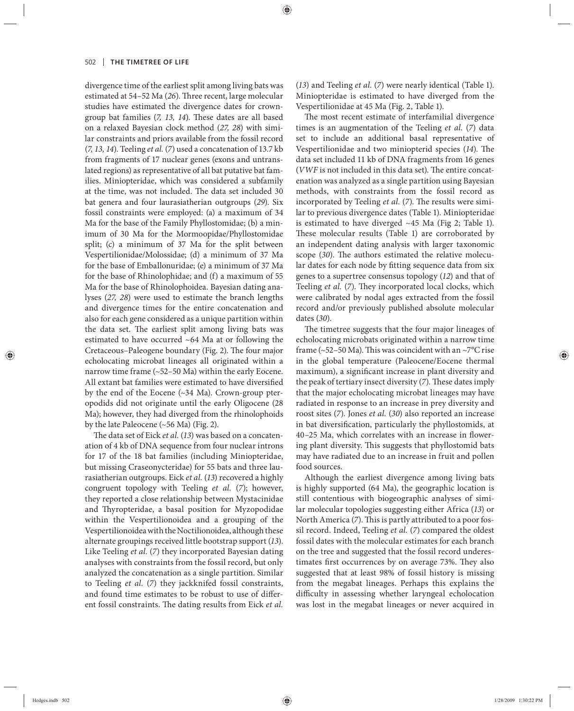divergence time of the earliest split among living bats was estimated at 54-52 Ma (26). Three recent, large molecular studies have estimated the divergence dates for crowngroup bat families (7, 13, 14). These dates are all based on a relaxed Bayesian clock method (*27, 28*) with similar constraints and priors available from the fossil record (*7, 13, 14*). Teeling *et al.* (*7*) used a concatenation of 13.7 kb from fragments of 17 nuclear genes (exons and untranslated regions) as representative of all bat putative bat families. Miniopteridae, which was considered a subfamily at the time, was not included. The data set included 30 bat genera and four laurasiatherian outgroups (*29*). Six fossil constraints were employed: (a) a maximum of 34 Ma for the base of the Family Phyllostomidae; (b) a minimum of 30 Ma for the Mormoopidae/Phyllostomidae split; (c) a minimum of 37 Ma for the split between Vespertilionidae/Molossidae; (d) a minimum of 37 Ma for the base of Emballonuridae; (e) a minimum of 37 Ma for the base of Rhinolophidae; and (f) a maximum of 55 Ma for the base of Rhinolophoidea. Bayesian dating analyses (*27, 28*) were used to estimate the branch lengths and divergence times for the entire concatenation and also for each gene considered as a unique partition within the data set. The earliest split among living bats was estimated to have occurred ~64 Ma at or following the Cretaceous–Paleogene boundary (Fig. 2). The four major echolocating microbat lineages all originated within a narrow time frame (~52–50 Ma) within the early Eocene. All extant bat families were estimated to have diversified by the end of the Eocene  $(\sim$ 34 Ma). Crown-group pteropodids did not originate until the early Oligocene (28 Ma); however, they had diverged from the rhinolophoids by the late Paleocene (~56 Ma) (Fig. 2).

The data set of Eick et al. (13) was based on a concatenation of 4 kb of DNA sequence from four nuclear introns for 17 of the 18 bat families (including Miniopteridae, but missing Craseonycteridae) for 55 bats and three laurasiatherian outgroups. Eick *et al.* (*13*) recovered a highly congruent topology with Teeling *et al.* (*7*); however, they reported a close relationship between Mystacinidae and Thyropteridae, a basal position for Myzopodidae within the Vespertilionoidea and a grouping of the Vespertilionoidea with the Noctilionoidea, although these alternate groupings received little bootstrap support (*13*). Like Teeling *et al.* (*7*) they incorporated Bayesian dating analyses with constraints from the fossil record, but only analyzed the concatenation as a single partition. Similar to Teeling *et al.* (*7*) they jackknifed fossil constraints, and found time estimates to be robust to use of different fossil constraints. The dating results from Eick et al. (*13*) and Teeling *et al.* (*7*) were nearly identical (Table 1). Miniopteridae is estimated to have diverged from the Vespertilionidae at 45 Ma (Fig. 2, Table 1).

The most recent estimate of interfamilial divergence times is an augmentation of the Teeling *et al.* (*7*) data set to include an additional basal representative of Vespertilionidae and two miniopterid species (14). The data set included 11 kb of DNA fragments from 16 genes (*VWF* is not included in this data set). The entire concatenation was analyzed as a single partition using Bayesian methods, with constraints from the fossil record as incorporated by Teeling *et al.* (7). The results were similar to previous divergence dates (Table 1). Miniopteridae is estimated to have diverged ~45 Ma (Fig 2; Table 1). These molecular results (Table 1) are corroborated by an independent dating analysis with larger taxonomic scope (30). The authors estimated the relative molecular dates for each node by fitting sequence data from six genes to a supertree consensus topology (*12*) and that of Teeling et al. (7). They incorporated local clocks, which were calibrated by nodal ages extracted from the fossil record and/or previously published absolute molecular dates (*30*).

The timetree suggests that the four major lineages of echolocating microbats originated within a narrow time frame (~52–50 Ma). This was coincident with an ~7 $\rm ^{o}C$  rise in the global temperature (Paleocene/Eocene thermal maximum), a significant increase in plant diversity and the peak of tertiary insect diversity (7). These dates imply that the major echolocating microbat lineages may have radiated in response to an increase in prey diversity and roost sites (*7*). Jones *et al.* (*30*) also reported an increase in bat diversification, particularly the phyllostomids, at 40-25 Ma, which correlates with an increase in flowering plant diversity. This suggests that phyllostomid bats may have radiated due to an increase in fruit and pollen food sources.

Although the earliest divergence among living bats is highly supported (64 Ma), the geographic location is still contentious with biogeographic analyses of similar molecular topologies suggesting either Africa (*13*) or North America (7). This is partly attributed to a poor fossil record. Indeed, Teeling *et al.* (*7*) compared the oldest fossil dates with the molecular estimates for each branch on the tree and suggested that the fossil record underestimates first occurrences by on average 73%. They also suggested that at least 98% of fossil history is missing from the megabat lineages. Perhaps this explains the difficulty in assessing whether laryngeal echolocation was lost in the megabat lineages or never acquired in